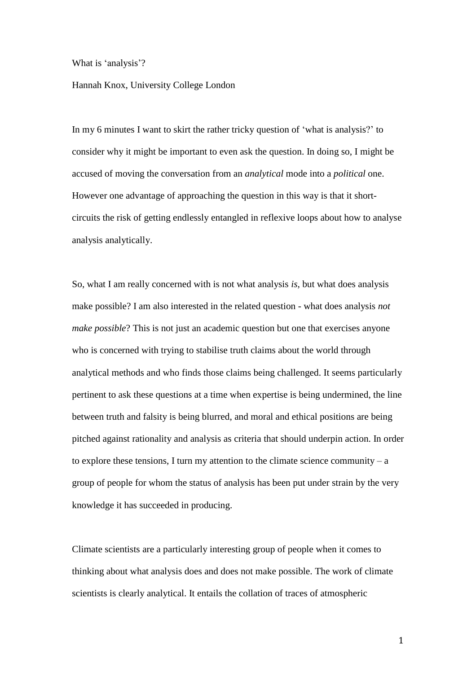What is 'analysis'?

## Hannah Knox, University College London

In my 6 minutes I want to skirt the rather tricky question of 'what is analysis?' to consider why it might be important to even ask the question. In doing so, I might be accused of moving the conversation from an *analytical* mode into a *political* one. However one advantage of approaching the question in this way is that it shortcircuits the risk of getting endlessly entangled in reflexive loops about how to analyse analysis analytically.

So, what I am really concerned with is not what analysis *is*, but what does analysis make possible? I am also interested in the related question - what does analysis *not make possible*? This is not just an academic question but one that exercises anyone who is concerned with trying to stabilise truth claims about the world through analytical methods and who finds those claims being challenged. It seems particularly pertinent to ask these questions at a time when expertise is being undermined, the line between truth and falsity is being blurred, and moral and ethical positions are being pitched against rationality and analysis as criteria that should underpin action. In order to explore these tensions, I turn my attention to the climate science community  $- a$ group of people for whom the status of analysis has been put under strain by the very knowledge it has succeeded in producing.

Climate scientists are a particularly interesting group of people when it comes to thinking about what analysis does and does not make possible. The work of climate scientists is clearly analytical. It entails the collation of traces of atmospheric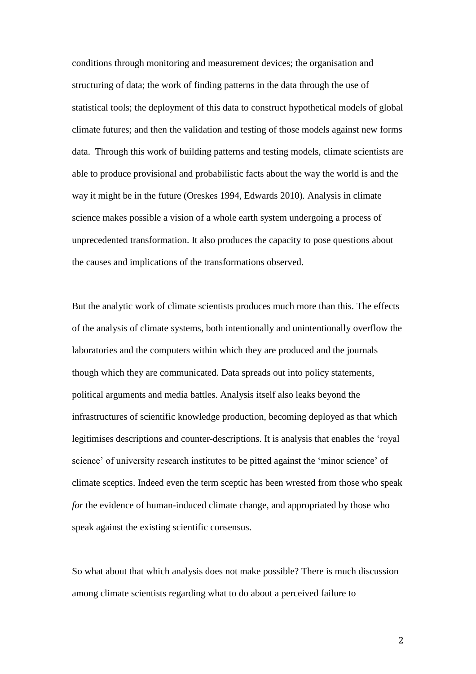conditions through monitoring and measurement devices; the organisation and structuring of data; the work of finding patterns in the data through the use of statistical tools; the deployment of this data to construct hypothetical models of global climate futures; and then the validation and testing of those models against new forms data. Through this work of building patterns and testing models, climate scientists are able to produce provisional and probabilistic facts about the way the world is and the way it might be in the future (Oreskes 1994, Edwards 2010)*.* Analysis in climate science makes possible a vision of a whole earth system undergoing a process of unprecedented transformation. It also produces the capacity to pose questions about the causes and implications of the transformations observed.

But the analytic work of climate scientists produces much more than this. The effects of the analysis of climate systems, both intentionally and unintentionally overflow the laboratories and the computers within which they are produced and the journals though which they are communicated. Data spreads out into policy statements, political arguments and media battles. Analysis itself also leaks beyond the infrastructures of scientific knowledge production, becoming deployed as that which legitimises descriptions and counter-descriptions. It is analysis that enables the 'royal science' of university research institutes to be pitted against the 'minor science' of climate sceptics. Indeed even the term sceptic has been wrested from those who speak *for* the evidence of human-induced climate change, and appropriated by those who speak against the existing scientific consensus.

So what about that which analysis does not make possible? There is much discussion among climate scientists regarding what to do about a perceived failure to

2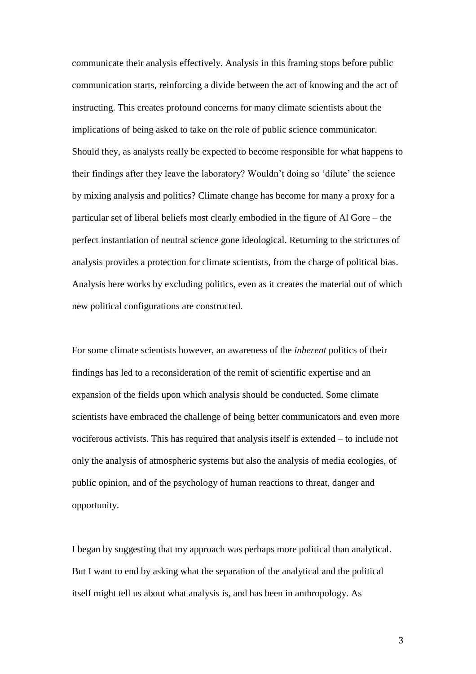communicate their analysis effectively. Analysis in this framing stops before public communication starts, reinforcing a divide between the act of knowing and the act of instructing. This creates profound concerns for many climate scientists about the implications of being asked to take on the role of public science communicator. Should they, as analysts really be expected to become responsible for what happens to their findings after they leave the laboratory? Wouldn't doing so 'dilute' the science by mixing analysis and politics? Climate change has become for many a proxy for a particular set of liberal beliefs most clearly embodied in the figure of Al Gore – the perfect instantiation of neutral science gone ideological. Returning to the strictures of analysis provides a protection for climate scientists, from the charge of political bias. Analysis here works by excluding politics, even as it creates the material out of which new political configurations are constructed.

For some climate scientists however, an awareness of the *inherent* politics of their findings has led to a reconsideration of the remit of scientific expertise and an expansion of the fields upon which analysis should be conducted. Some climate scientists have embraced the challenge of being better communicators and even more vociferous activists. This has required that analysis itself is extended – to include not only the analysis of atmospheric systems but also the analysis of media ecologies, of public opinion, and of the psychology of human reactions to threat, danger and opportunity.

I began by suggesting that my approach was perhaps more political than analytical. But I want to end by asking what the separation of the analytical and the political itself might tell us about what analysis is, and has been in anthropology. As

3